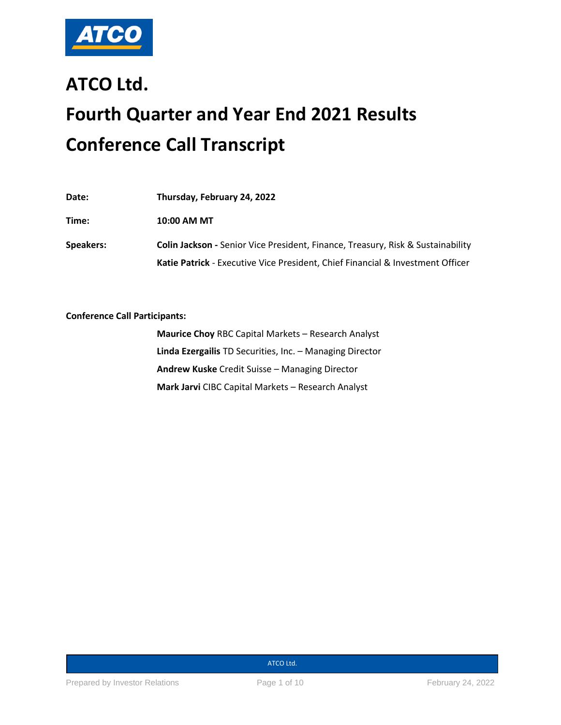

# **ATCO Ltd. Fourth Quarter and Year End 2021 Results Conference Call Transcript**

| Date:     | Thursday, February 24, 2022                                                           |
|-----------|---------------------------------------------------------------------------------------|
| Time:     | 10:00 AM MT                                                                           |
| Speakers: | Colin Jackson - Senior Vice President, Finance, Treasury, Risk & Sustainability       |
|           | <b>Katie Patrick</b> - Executive Vice President, Chief Financial & Investment Officer |

**Conference Call Participants:** 

**Maurice Choy** RBC Capital Markets – Research Analyst **Linda Ezergailis** TD Securities, Inc. – Managing Director **Andrew Kuske** Credit Suisse – Managing Director **Mark Jarvi** CIBC Capital Markets – Research Analyst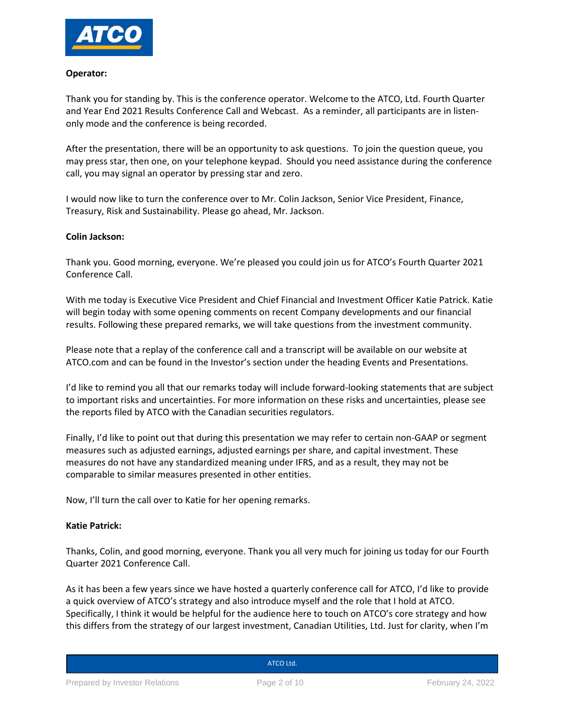

## **Operator:**

Thank you for standing by. This is the conference operator. Welcome to the ATCO, Ltd. Fourth Quarter and Year End 2021 Results Conference Call and Webcast. As a reminder, all participants are in listenonly mode and the conference is being recorded.

After the presentation, there will be an opportunity to ask questions. To join the question queue, you may press star, then one, on your telephone keypad. Should you need assistance during the conference call, you may signal an operator by pressing star and zero.

I would now like to turn the conference over to Mr. Colin Jackson, Senior Vice President, Finance, Treasury, Risk and Sustainability. Please go ahead, Mr. Jackson.

## **Colin Jackson:**

Thank you. Good morning, everyone. We're pleased you could join us for ATCO's Fourth Quarter 2021 Conference Call.

With me today is Executive Vice President and Chief Financial and Investment Officer Katie Patrick. Katie will begin today with some opening comments on recent Company developments and our financial results. Following these prepared remarks, we will take questions from the investment community.

Please note that a replay of the conference call and a transcript will be available on our website at ATCO.com and can be found in the Investor's section under the heading Events and Presentations.

I'd like to remind you all that our remarks today will include forward-looking statements that are subject to important risks and uncertainties. For more information on these risks and uncertainties, please see the reports filed by ATCO with the Canadian securities regulators.

Finally, I'd like to point out that during this presentation we may refer to certain non-GAAP or segment measures such as adjusted earnings, adjusted earnings per share, and capital investment. These measures do not have any standardized meaning under IFRS, and as a result, they may not be comparable to similar measures presented in other entities.

Now, I'll turn the call over to Katie for her opening remarks.

## **Katie Patrick:**

Thanks, Colin, and good morning, everyone. Thank you all very much for joining us today for our Fourth Quarter 2021 Conference Call.

As it has been a few years since we have hosted a quarterly conference call for ATCO, I'd like to provide a quick overview of ATCO's strategy and also introduce myself and the role that I hold at ATCO. Specifically, I think it would be helpful for the audience here to touch on ATCO's core strategy and how this differs from the strategy of our largest investment, Canadian Utilities, Ltd. Just for clarity, when I'm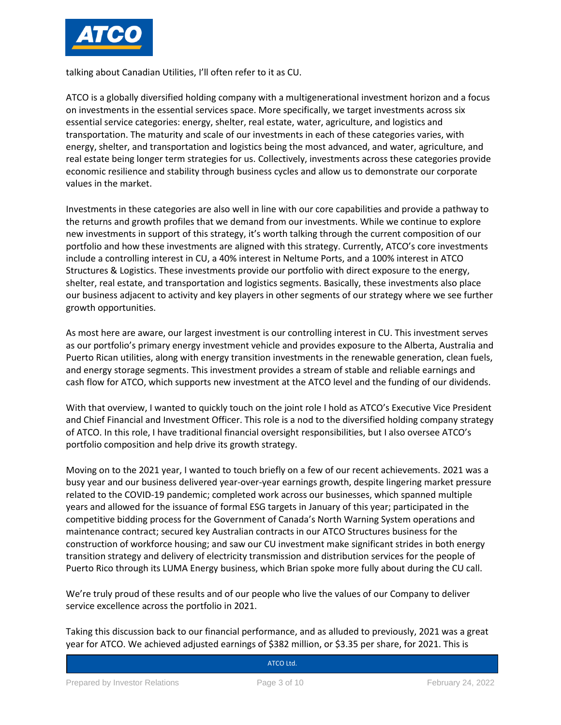

talking about Canadian Utilities, I'll often refer to it as CU.

ATCO is a globally diversified holding company with a multigenerational investment horizon and a focus on investments in the essential services space. More specifically, we target investments across six essential service categories: energy, shelter, real estate, water, agriculture, and logistics and transportation. The maturity and scale of our investments in each of these categories varies, with energy, shelter, and transportation and logistics being the most advanced, and water, agriculture, and real estate being longer term strategies for us. Collectively, investments across these categories provide economic resilience and stability through business cycles and allow us to demonstrate our corporate values in the market.

Investments in these categories are also well in line with our core capabilities and provide a pathway to the returns and growth profiles that we demand from our investments. While we continue to explore new investments in support of this strategy, it's worth talking through the current composition of our portfolio and how these investments are aligned with this strategy. Currently, ATCO's core investments include a controlling interest in CU, a 40% interest in Neltume Ports, and a 100% interest in ATCO Structures & Logistics. These investments provide our portfolio with direct exposure to the energy, shelter, real estate, and transportation and logistics segments. Basically, these investments also place our business adjacent to activity and key players in other segments of our strategy where we see further growth opportunities.

As most here are aware, our largest investment is our controlling interest in CU. This investment serves as our portfolio's primary energy investment vehicle and provides exposure to the Alberta, Australia and Puerto Rican utilities, along with energy transition investments in the renewable generation, clean fuels, and energy storage segments. This investment provides a stream of stable and reliable earnings and cash flow for ATCO, which supports new investment at the ATCO level and the funding of our dividends.

With that overview, I wanted to quickly touch on the joint role I hold as ATCO's Executive Vice President and Chief Financial and Investment Officer. This role is a nod to the diversified holding company strategy of ATCO. In this role, I have traditional financial oversight responsibilities, but I also oversee ATCO's portfolio composition and help drive its growth strategy.

Moving on to the 2021 year, I wanted to touch briefly on a few of our recent achievements. 2021 was a busy year and our business delivered year-over-year earnings growth, despite lingering market pressure related to the COVID-19 pandemic; completed work across our businesses, which spanned multiple years and allowed for the issuance of formal ESG targets in January of this year; participated in the competitive bidding process for the Government of Canada's North Warning System operations and maintenance contract; secured key Australian contracts in our ATCO Structures business for the construction of workforce housing; and saw our CU investment make significant strides in both energy transition strategy and delivery of electricity transmission and distribution services for the people of Puerto Rico through its LUMA Energy business, which Brian spoke more fully about during the CU call.

We're truly proud of these results and of our people who live the values of our Company to deliver service excellence across the portfolio in 2021.

Taking this discussion back to our financial performance, and as alluded to previously, 2021 was a great year for ATCO. We achieved adjusted earnings of \$382 million, or \$3.35 per share, for 2021. This is

**Canadian Utilities Limited Street**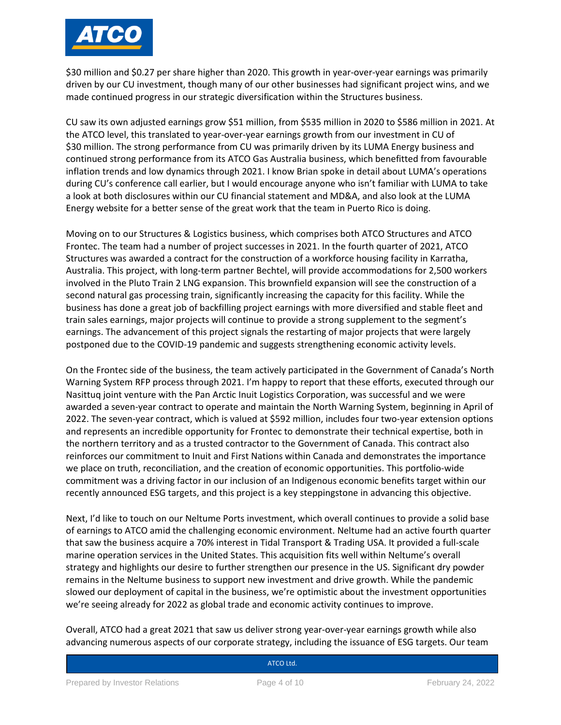

\$30 million and \$0.27 per share higher than 2020. This growth in year-over-year earnings was primarily driven by our CU investment, though many of our other businesses had significant project wins, and we made continued progress in our strategic diversification within the Structures business.

CU saw its own adjusted earnings grow \$51 million, from \$535 million in 2020 to \$586 million in 2021. At the ATCO level, this translated to year-over-year earnings growth from our investment in CU of \$30 million. The strong performance from CU was primarily driven by its LUMA Energy business and continued strong performance from its ATCO Gas Australia business, which benefitted from favourable inflation trends and low dynamics through 2021. I know Brian spoke in detail about LUMA's operations during CU's conference call earlier, but I would encourage anyone who isn't familiar with LUMA to take a look at both disclosures within our CU financial statement and MD&A, and also look at the LUMA Energy website for a better sense of the great work that the team in Puerto Rico is doing.

Moving on to our Structures & Logistics business, which comprises both ATCO Structures and ATCO Frontec. The team had a number of project successes in 2021. In the fourth quarter of 2021, ATCO Structures was awarded a contract for the construction of a workforce housing facility in Karratha, Australia. This project, with long-term partner Bechtel, will provide accommodations for 2,500 workers involved in the Pluto Train 2 LNG expansion. This brownfield expansion will see the construction of a second natural gas processing train, significantly increasing the capacity for this facility. While the business has done a great job of backfilling project earnings with more diversified and stable fleet and train sales earnings, major projects will continue to provide a strong supplement to the segment's earnings. The advancement of this project signals the restarting of major projects that were largely postponed due to the COVID-19 pandemic and suggests strengthening economic activity levels.

On the Frontec side of the business, the team actively participated in the Government of Canada's North Warning System RFP process through 2021. I'm happy to report that these efforts, executed through our Nasittuq joint venture with the Pan Arctic Inuit Logistics Corporation, was successful and we were awarded a seven-year contract to operate and maintain the North Warning System, beginning in April of 2022. The seven-year contract, which is valued at \$592 million, includes four two-year extension options and represents an incredible opportunity for Frontec to demonstrate their technical expertise, both in the northern territory and as a trusted contractor to the Government of Canada. This contract also reinforces our commitment to Inuit and First Nations within Canada and demonstrates the importance we place on truth, reconciliation, and the creation of economic opportunities. This portfolio-wide commitment was a driving factor in our inclusion of an Indigenous economic benefits target within our recently announced ESG targets, and this project is a key steppingstone in advancing this objective.

Next, I'd like to touch on our Neltume Ports investment, which overall continues to provide a solid base of earnings to ATCO amid the challenging economic environment. Neltume had an active fourth quarter that saw the business acquire a 70% interest in Tidal Transport & Trading USA. It provided a full-scale marine operation services in the United States. This acquisition fits well within Neltume's overall strategy and highlights our desire to further strengthen our presence in the US. Significant dry powder remains in the Neltume business to support new investment and drive growth. While the pandemic slowed our deployment of capital in the business, we're optimistic about the investment opportunities we're seeing already for 2022 as global trade and economic activity continues to improve.

Overall, ATCO had a great 2021 that saw us deliver strong year-over-year earnings growth while also advancing numerous aspects of our corporate strategy, including the issuance of ESG targets. Our team

**Canadian Utilities Limited Street**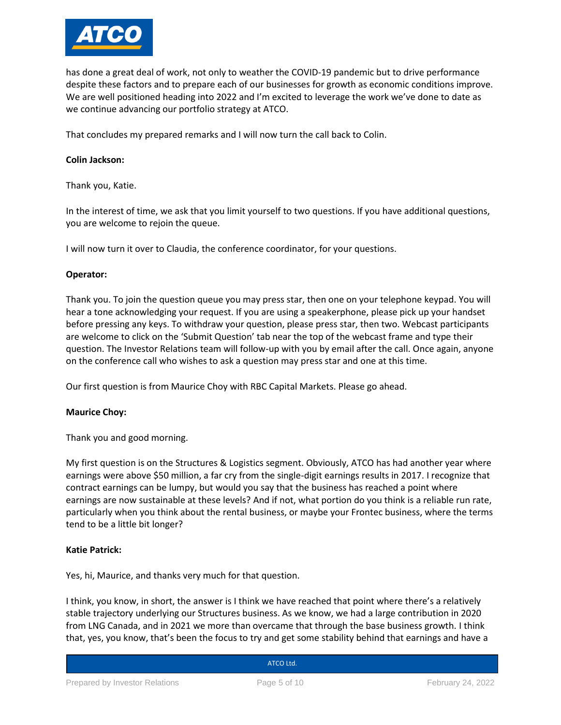

has done a great deal of work, not only to weather the COVID-19 pandemic but to drive performance despite these factors and to prepare each of our businesses for growth as economic conditions improve. We are well positioned heading into 2022 and I'm excited to leverage the work we've done to date as we continue advancing our portfolio strategy at ATCO.

That concludes my prepared remarks and I will now turn the call back to Colin.

## **Colin Jackson:**

Thank you, Katie.

In the interest of time, we ask that you limit yourself to two questions. If you have additional questions, you are welcome to rejoin the queue.

I will now turn it over to Claudia, the conference coordinator, for your questions.

## **Operator:**

Thank you. To join the question queue you may press star, then one on your telephone keypad. You will hear a tone acknowledging your request. If you are using a speakerphone, please pick up your handset before pressing any keys. To withdraw your question, please press star, then two. Webcast participants are welcome to click on the 'Submit Question' tab near the top of the webcast frame and type their question. The Investor Relations team will follow-up with you by email after the call. Once again, anyone on the conference call who wishes to ask a question may press star and one at this time.

Our first question is from Maurice Choy with RBC Capital Markets. Please go ahead.

## **Maurice Choy:**

Thank you and good morning.

My first question is on the Structures & Logistics segment. Obviously, ATCO has had another year where earnings were above \$50 million, a far cry from the single-digit earnings results in 2017. I recognize that contract earnings can be lumpy, but would you say that the business has reached a point where earnings are now sustainable at these levels? And if not, what portion do you think is a reliable run rate, particularly when you think about the rental business, or maybe your Frontec business, where the terms tend to be a little bit longer?

## **Katie Patrick:**

Yes, hi, Maurice, and thanks very much for that question.

I think, you know, in short, the answer is I think we have reached that point where there's a relatively stable trajectory underlying our Structures business. As we know, we had a large contribution in 2020 from LNG Canada, and in 2021 we more than overcame that through the base business growth. I think that, yes, you know, that's been the focus to try and get some stability behind that earnings and have a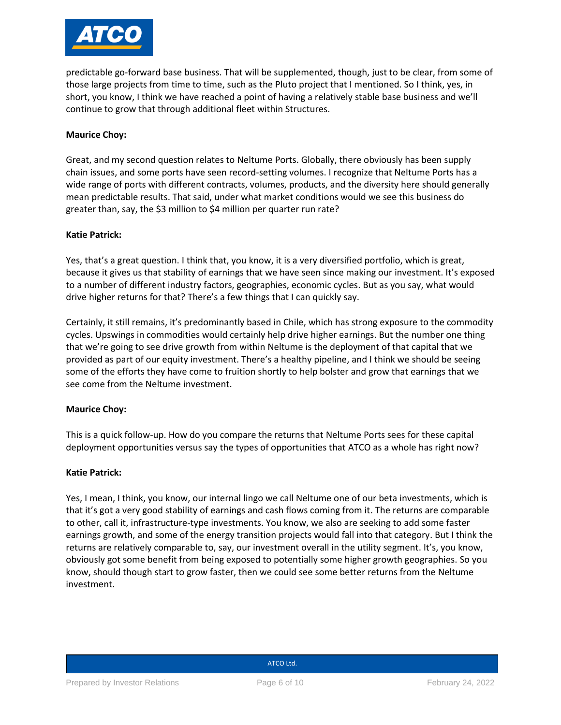

predictable go-forward base business. That will be supplemented, though, just to be clear, from some of those large projects from time to time, such as the Pluto project that I mentioned. So I think, yes, in short, you know, I think we have reached a point of having a relatively stable base business and we'll continue to grow that through additional fleet within Structures.

## **Maurice Choy:**

Great, and my second question relates to Neltume Ports. Globally, there obviously has been supply chain issues, and some ports have seen record-setting volumes. I recognize that Neltume Ports has a wide range of ports with different contracts, volumes, products, and the diversity here should generally mean predictable results. That said, under what market conditions would we see this business do greater than, say, the \$3 million to \$4 million per quarter run rate?

## **Katie Patrick:**

Yes, that's a great question. I think that, you know, it is a very diversified portfolio, which is great, because it gives us that stability of earnings that we have seen since making our investment. It's exposed to a number of different industry factors, geographies, economic cycles. But as you say, what would drive higher returns for that? There's a few things that I can quickly say.

Certainly, it still remains, it's predominantly based in Chile, which has strong exposure to the commodity cycles. Upswings in commodities would certainly help drive higher earnings. But the number one thing that we're going to see drive growth from within Neltume is the deployment of that capital that we provided as part of our equity investment. There's a healthy pipeline, and I think we should be seeing some of the efforts they have come to fruition shortly to help bolster and grow that earnings that we see come from the Neltume investment.

## **Maurice Choy:**

This is a quick follow-up. How do you compare the returns that Neltume Ports sees for these capital deployment opportunities versus say the types of opportunities that ATCO as a whole has right now?

## **Katie Patrick:**

Yes, I mean, I think, you know, our internal lingo we call Neltume one of our beta investments, which is that it's got a very good stability of earnings and cash flows coming from it. The returns are comparable to other, call it, infrastructure-type investments. You know, we also are seeking to add some faster earnings growth, and some of the energy transition projects would fall into that category. But I think the returns are relatively comparable to, say, our investment overall in the utility segment. It's, you know, obviously got some benefit from being exposed to potentially some higher growth geographies. So you know, should though start to grow faster, then we could see some better returns from the Neltume investment.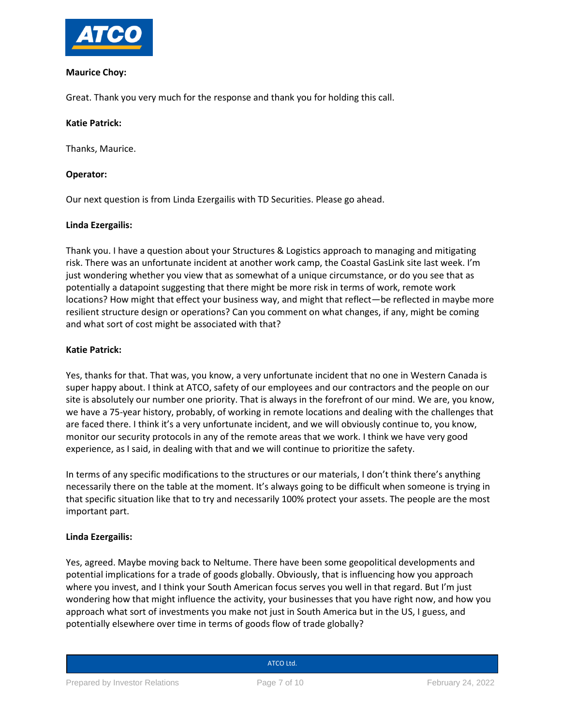

## **Maurice Choy:**

Great. Thank you very much for the response and thank you for holding this call.

# **Katie Patrick:**

Thanks, Maurice.

# **Operator:**

Our next question is from Linda Ezergailis with TD Securities. Please go ahead.

## **Linda Ezergailis:**

Thank you. I have a question about your Structures & Logistics approach to managing and mitigating risk. There was an unfortunate incident at another work camp, the Coastal GasLink site last week. I'm just wondering whether you view that as somewhat of a unique circumstance, or do you see that as potentially a datapoint suggesting that there might be more risk in terms of work, remote work locations? How might that effect your business way, and might that reflect—be reflected in maybe more resilient structure design or operations? Can you comment on what changes, if any, might be coming and what sort of cost might be associated with that?

## **Katie Patrick:**

Yes, thanks for that. That was, you know, a very unfortunate incident that no one in Western Canada is super happy about. I think at ATCO, safety of our employees and our contractors and the people on our site is absolutely our number one priority. That is always in the forefront of our mind. We are, you know, we have a 75-year history, probably, of working in remote locations and dealing with the challenges that are faced there. I think it's a very unfortunate incident, and we will obviously continue to, you know, monitor our security protocols in any of the remote areas that we work. I think we have very good experience, as I said, in dealing with that and we will continue to prioritize the safety.

In terms of any specific modifications to the structures or our materials, I don't think there's anything necessarily there on the table at the moment. It's always going to be difficult when someone is trying in that specific situation like that to try and necessarily 100% protect your assets. The people are the most important part.

# **Linda Ezergailis:**

Yes, agreed. Maybe moving back to Neltume. There have been some geopolitical developments and potential implications for a trade of goods globally. Obviously, that is influencing how you approach where you invest, and I think your South American focus serves you well in that regard. But I'm just wondering how that might influence the activity, your businesses that you have right now, and how you approach what sort of investments you make not just in South America but in the US, I guess, and potentially elsewhere over time in terms of goods flow of trade globally?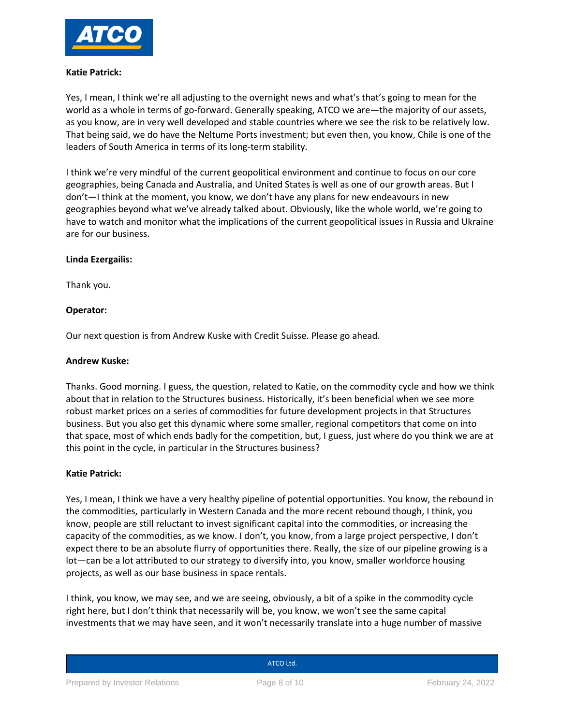

## **Katie Patrick:**

Yes, I mean, I think we're all adjusting to the overnight news and what's that's going to mean for the world as a whole in terms of go-forward. Generally speaking, ATCO we are—the majority of our assets, as you know, are in very well developed and stable countries where we see the risk to be relatively low. That being said, we do have the Neltume Ports investment; but even then, you know, Chile is one of the leaders of South America in terms of its long-term stability.

I think we're very mindful of the current geopolitical environment and continue to focus on our core geographies, being Canada and Australia, and United States is well as one of our growth areas. But I don't—I think at the moment, you know, we don't have any plans for new endeavours in new geographies beyond what we've already talked about. Obviously, like the whole world, we're going to have to watch and monitor what the implications of the current geopolitical issues in Russia and Ukraine are for our business.

## **Linda Ezergailis:**

Thank you.

## **Operator:**

Our next question is from Andrew Kuske with Credit Suisse. Please go ahead.

## **Andrew Kuske:**

Thanks. Good morning. I guess, the question, related to Katie, on the commodity cycle and how we think about that in relation to the Structures business. Historically, it's been beneficial when we see more robust market prices on a series of commodities for future development projects in that Structures business. But you also get this dynamic where some smaller, regional competitors that come on into that space, most of which ends badly for the competition, but, I guess, just where do you think we are at this point in the cycle, in particular in the Structures business?

## **Katie Patrick:**

Yes, I mean, I think we have a very healthy pipeline of potential opportunities. You know, the rebound in the commodities, particularly in Western Canada and the more recent rebound though, I think, you know, people are still reluctant to invest significant capital into the commodities, or increasing the capacity of the commodities, as we know. I don't, you know, from a large project perspective, I don't expect there to be an absolute flurry of opportunities there. Really, the size of our pipeline growing is a lot—can be a lot attributed to our strategy to diversify into, you know, smaller workforce housing projects, as well as our base business in space rentals.

I think, you know, we may see, and we are seeing, obviously, a bit of a spike in the commodity cycle right here, but I don't think that necessarily will be, you know, we won't see the same capital investments that we may have seen, and it won't necessarily translate into a huge number of massive

| ATCO Ltd. |  |
|-----------|--|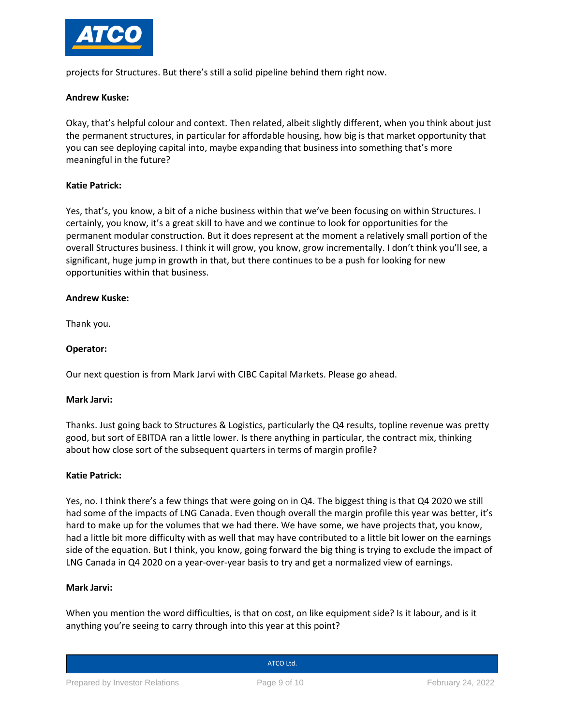

projects for Structures. But there's still a solid pipeline behind them right now.

## **Andrew Kuske:**

Okay, that's helpful colour and context. Then related, albeit slightly different, when you think about just the permanent structures, in particular for affordable housing, how big is that market opportunity that you can see deploying capital into, maybe expanding that business into something that's more meaningful in the future?

## **Katie Patrick:**

Yes, that's, you know, a bit of a niche business within that we've been focusing on within Structures. I certainly, you know, it's a great skill to have and we continue to look for opportunities for the permanent modular construction. But it does represent at the moment a relatively small portion of the overall Structures business. I think it will grow, you know, grow incrementally. I don't think you'll see, a significant, huge jump in growth in that, but there continues to be a push for looking for new opportunities within that business.

## **Andrew Kuske:**

Thank you.

## **Operator:**

Our next question is from Mark Jarvi with CIBC Capital Markets. Please go ahead.

## **Mark Jarvi:**

Thanks. Just going back to Structures & Logistics, particularly the Q4 results, topline revenue was pretty good, but sort of EBITDA ran a little lower. Is there anything in particular, the contract mix, thinking about how close sort of the subsequent quarters in terms of margin profile?

## **Katie Patrick:**

Yes, no. I think there's a few things that were going on in Q4. The biggest thing is that Q4 2020 we still had some of the impacts of LNG Canada. Even though overall the margin profile this year was better, it's hard to make up for the volumes that we had there. We have some, we have projects that, you know, had a little bit more difficulty with as well that may have contributed to a little bit lower on the earnings side of the equation. But I think, you know, going forward the big thing is trying to exclude the impact of LNG Canada in Q4 2020 on a year-over-year basis to try and get a normalized view of earnings.

## **Mark Jarvi:**

When you mention the word difficulties, is that on cost, on like equipment side? Is it labour, and is it anything you're seeing to carry through into this year at this point?